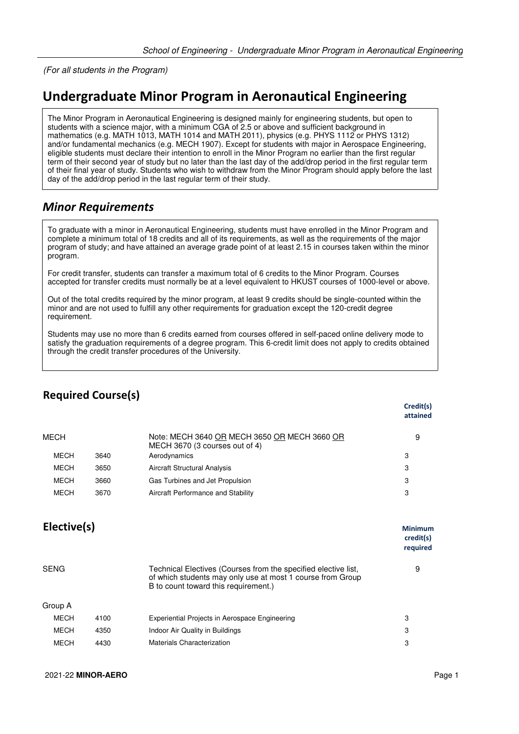(For all students in the Program)

## **Undergraduate Minor Program in Aeronautical Engineering**

The Minor Program in Aeronautical Engineering is designed mainly for engineering students, but open to students with a science major, with a minimum CGA of 2.5 or above and sufficient background in mathematics (e.g. MATH 1013, MATH 1014 and MATH 2011), physics (e.g. PHYS 1112 or PHYS 1312) and/or fundamental mechanics (e.g. MECH 1907). Except for students with major in Aerospace Engineering, eligible students must declare their intention to enroll in the Minor Program no earlier than the first regular term of their second year of study but no later than the last day of the add/drop period in the first regular term of their final year of study. Students who wish to withdraw from the Minor Program should apply before the last day of the add/drop period in the last regular term of their study.

## *Minor Requirements*

To graduate with a minor in Aeronautical Engineering, students must have enrolled in the Minor Program and complete a minimum total of 18 credits and all of its requirements, as well as the requirements of the major program of study; and have attained an average grade point of at least 2.15 in courses taken within the minor program.

For credit transfer, students can transfer a maximum total of 6 credits to the Minor Program. Courses accepted for transfer credits must normally be at a level equivalent to HKUST courses of 1000-level or above.

Out of the total credits required by the minor program, at least 9 credits should be single-counted within the minor and are not used to fulfill any other requirements for graduation except the 120-credit degree requirement.

Students may use no more than 6 credits earned from courses offered in self-paced online delivery mode to satisfy the graduation requirements of a degree program. This 6-credit limit does not apply to credits obtained through the credit transfer procedures of the University.

|             |      |                                                                                                                                                                      | Credit(s)<br>attained                   |
|-------------|------|----------------------------------------------------------------------------------------------------------------------------------------------------------------------|-----------------------------------------|
| MECH        |      | Note: MECH 3640 OR MECH 3650 OR MECH 3660 OR<br>MECH 3670 (3 courses out of 4)                                                                                       | 9                                       |
| <b>MECH</b> | 3640 | Aerodynamics                                                                                                                                                         | 3                                       |
| MECH        | 3650 | Aircraft Structural Analysis                                                                                                                                         | 3                                       |
| <b>MECH</b> | 3660 | Gas Turbines and Jet Propulsion                                                                                                                                      | 3                                       |
| <b>MECH</b> | 3670 | Aircraft Performance and Stability                                                                                                                                   | 3                                       |
| Elective(s) |      |                                                                                                                                                                      | <b>Minimum</b><br>credit(s)<br>required |
| <b>SENG</b> |      | Technical Electives (Courses from the specified elective list,<br>of which students may only use at most 1 course from Group<br>B to count toward this requirement.) | 9                                       |
| Group A     |      |                                                                                                                                                                      |                                         |
| <b>MECH</b> | 4100 | Experiential Projects in Aerospace Engineering                                                                                                                       | 3                                       |
| <b>MECH</b> | 4350 | Indoor Air Quality in Buildings                                                                                                                                      | 3                                       |
| <b>MECH</b> | 4430 | Materials Characterization                                                                                                                                           | 3                                       |
|             |      |                                                                                                                                                                      |                                         |

## **Required Course(s)**